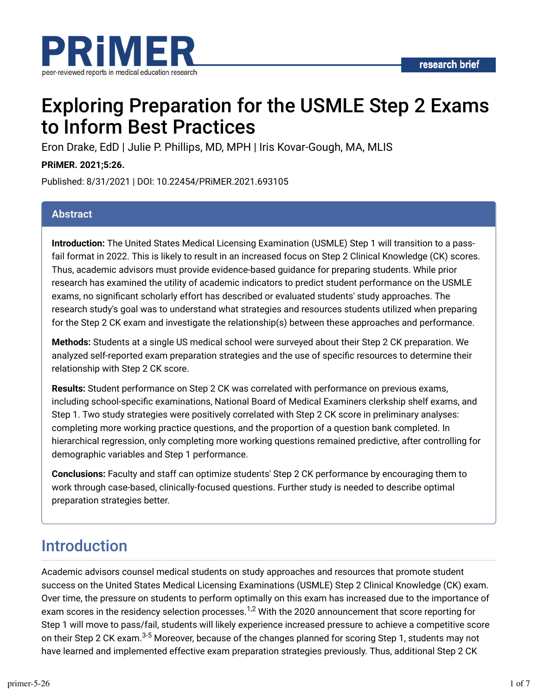

# Exploring Preparation for the USMLE Step 2 Exams to Inform Best Practices

Eron Drake, EdD | Julie P. Phillips, MD, MPH | Iris Kovar-Gough, MA, MLIS

## **PRiMER. 2021;5:26.**

Published: 8/31/2021 | DOI: 10.22454/PRiMER.2021.693105

### **Abstract**

**Introduction:** The United States Medical Licensing Examination (USMLE) Step 1 will transition to a passfail format in 2022. This is likely to result in an increased focus on Step 2 Clinical Knowledge (CK) scores. Thus, academic advisors must provide evidence-based guidance for preparing students. While prior research has examined the utility of academic indicators to predict student performance on the USMLE exams, no significant scholarly effort has described or evaluated students' study approaches. The research study's goal was to understand what strategies and resources students utilized when preparing for the Step 2 CK exam and investigate the relationship(s) between these approaches and performance.

**Methods:** Students at a single US medical school were surveyed about their Step 2 CK preparation. We analyzed self-reported exam preparation strategies and the use of specific resources to determine their relationship with Step 2 CK score.

**Results:** Student performance on Step 2 CK was correlated with performance on previous exams, including school-specific examinations, National Board of Medical Examiners clerkship shelf exams, and Step 1. Two study strategies were positively correlated with Step 2 CK score in preliminary analyses: completing more working practice questions, and the proportion of a question bank completed. In hierarchical regression, only completing more working questions remained predictive, after controlling for demographic variables and Step 1 performance.

**Conclusions:** Faculty and staff can optimize students' Step 2 CK performance by encouraging them to work through case-based, clinically-focused questions. Further study is needed to describe optimal preparation strategies better.

# Introduction

Academic advisors counsel medical students on study approaches and resources that promote student success on the United States Medical Licensing Examinations (USMLE) Step 2 Clinical Knowledge (CK) exam. Over time, the pressure on students to perform optimally on this exam has increased due to the importance of exam scores in the residency selection processes. $^{1,2}$  With the 2020 announcement that score reporting for Step 1 will move to pass/fail, students will likely experience increased pressure to achieve a competitive score on their Step 2 CK exam.<sup>3-5</sup> Moreover, because of the changes planned for scoring Step 1, students may not have learned and implemented effective exam preparation strategies previously. Thus, additional Step 2 CK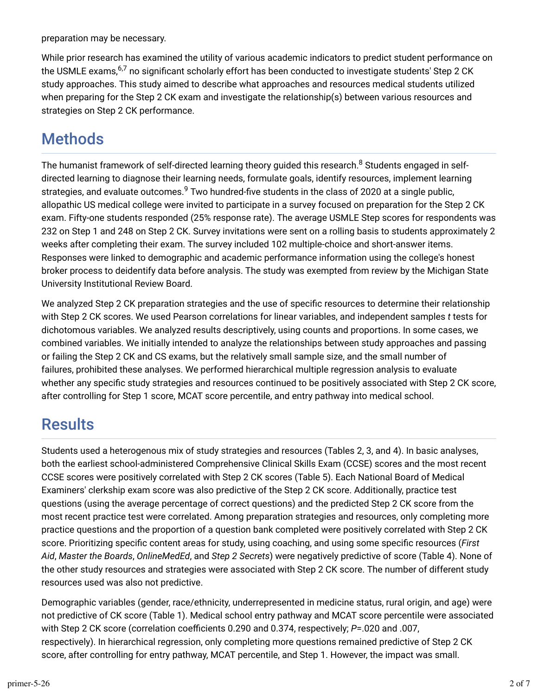preparation may be necessary.

While prior research has examined the utility of various academic indicators to predict student performance on the USMLE exams,<sup>6,7</sup> no significant scholarly effort has been conducted to investigate students' Step 2 CK study approaches. This study aimed to describe what approaches and resources medical students utilized when preparing for the Step 2 CK exam and investigate the relationship(s) between various resources and strategies on Step 2 CK performance.

# Methods

The humanist framework of self-directed learning theory guided this research.<sup>8</sup> Students engaged in selfdirected learning to diagnose their learning needs, formulate goals, identify resources, implement learning strategies, and evaluate outcomes. $^9$  Two hundred-five students in the class of 2020 at a single public, allopathic US medical college were invited to participate in a survey focused on preparation for the Step 2 CK exam. Fifty-one students responded (25% response rate). The average USMLE Step scores for respondents was 232 on Step 1 and 248 on Step 2 CK. Survey invitations were sent on a rolling basis to students approximately 2 weeks after completing their exam. The survey included 102 multiple-choice and short-answer items. Responses were linked to demographic and academic performance information using the college's honest broker process to deidentify data before analysis. The study was exempted from review by the Michigan State University Institutional Review Board.

We analyzed Step 2 CK preparation strategies and the use of specific resources to determine their relationship with Step 2 CK scores. We used Pearson correlations for linear variables, and independent samples *t* tests for dichotomous variables. We analyzed results descriptively, using counts and proportions. In some cases, we combined variables. We initially intended to analyze the relationships between study approaches and passing or failing the Step 2 CK and CS exams, but the relatively small sample size, and the small number of failures, prohibited these analyses. We performed hierarchical multiple regression analysis to evaluate whether any specific study strategies and resources continued to be positively associated with Step 2 CK score, after controlling for Step 1 score, MCAT score percentile, and entry pathway into medical school.

# **Results**

Students used a heterogenous mix of study strategies and resources (Tables 2, 3, and 4). In basic analyses, both the earliest school-administered Comprehensive Clinical Skills Exam (CCSE) scores and the most recent CCSE scores were positively correlated with Step 2 CK scores (Table 5). Each National Board of Medical Examiners' clerkship exam score was also predictive of the Step 2 CK score. Additionally, practice test questions (using the average percentage of correct questions) and the predicted Step 2 CK score from the most recent practice test were correlated. Among preparation strategies and resources, only completing more practice questions and the proportion of a question bank completed were positively correlated with Step 2 CK score. Prioritizing specific content areas for study, using coaching, and using some specific resources (*First Aid*, *Master the Boards*, *OnlineMedEd*, and *Step 2 Secrets*) were negatively predictive of score (Table 4). None of the other study resources and strategies were associated with Step 2 CK score. The number of different study resources used was also not predictive.

Demographic variables (gender, race/ethnicity, underrepresented in medicine status, rural origin, and age) were not predictive of CK score (Table 1). Medical school entry pathway and MCAT score percentile were associated with Step 2 CK score (correlation coefficients 0.290 and 0.374, respectively;  $P = 020$  and .007, respectively). In hierarchical regression, only completing more questions remained predictive of Step 2 CK score, after controlling for entry pathway, MCAT percentile, and Step 1. However, the impact was small.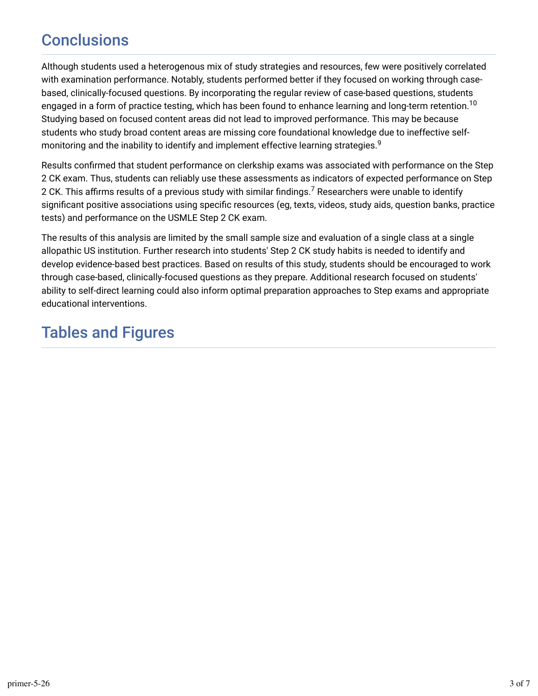# **Conclusions**

Although students used a heterogenous mix of study strategies and resources, few were positively correlated with examination performance. Notably, students performed better if they focused on working through casebased, clinically-focused questions. By incorporating the regular review of case-based questions, students engaged in a form of practice testing, which has been found to enhance learning and long-term retention. $^{10}$ Studying based on focused content areas did not lead to improved performance. This may be because students who study broad content areas are missing core foundational knowledge due to ineffective selfmonitoring and the inability to identify and implement effective learning strategies. $^9\,$ 

Results confirmed that student performance on clerkship exams was associated with performance on the Step 2 CK exam. Thus, students can reliably use these assessments as indicators of expected performance on Step 2 CK. This affirms results of a previous study with similar findings.<sup>7</sup> Researchers were unable to identify significant positive associations using specific resources (eg, texts, videos, study aids, question banks, practice tests) and performance on the USMLE Step 2 CK exam.

The results of this analysis are limited by the small sample size and evaluation of a single class at a single allopathic US institution. Further research into students' Step 2 CK study habits is needed to identify and develop evidence-based best practices. Based on results of this study, students should be encouraged to work through case-based, clinically-focused questions as they prepare. Additional research focused on students' ability to self-direct learning could also inform optimal preparation approaches to Step exams and appropriate educational interventions.

# Tables and Figures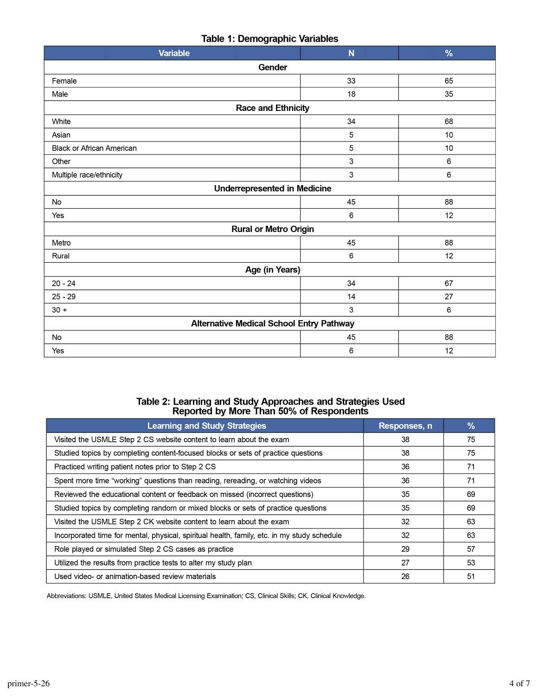### Table 1: Demographic Variables

| Variable                                        | N            | $\frac{9}{6}$ |  |
|-------------------------------------------------|--------------|---------------|--|
| Gender                                          |              |               |  |
| Female                                          | 33           | 65            |  |
| Male                                            | 18           | 35            |  |
| <b>Race and Ethnicity</b>                       |              |               |  |
| White                                           | 34           | 68            |  |
| Asian                                           | $\sqrt{5}$   | 10            |  |
| <b>Black or African American</b>                | $\mathbf 5$  | 10            |  |
| Other                                           | $\mathbf{3}$ | 6             |  |
| Multiple race/ethnicity                         | $\mathbf{3}$ | 6             |  |
| <b>Underrepresented in Medicine</b>             |              |               |  |
| No                                              | 45           | 88            |  |
| Yes                                             | 6            | 12            |  |
| <b>Rural or Metro Origin</b>                    |              |               |  |
| Metro                                           | 45           | 88            |  |
| Rural                                           | 6            | 12            |  |
| Age (in Years)                                  |              |               |  |
| $20 - 24$                                       | 34           | 67            |  |
| $25 - 29$                                       | 14           | 27            |  |
| $30 +$                                          | $\mathbf{3}$ | 6             |  |
| <b>Alternative Medical School Entry Pathway</b> |              |               |  |
| No                                              | 45           | 88            |  |
| Yes                                             | 6            | 12            |  |

# Table 2: Learning and Study Approaches and Strategies Used<br>Reported by More Than 50% of Respondents

| <b>Learning and Study Strategies</b>                                                        | Responses, n | $\frac{9}{6}$ |
|---------------------------------------------------------------------------------------------|--------------|---------------|
| Visited the USMLE Step 2 CS website content to learn about the exam                         | 38           | 75            |
| Studied topics by completing content-focused blocks or sets of practice questions           | 38           | 75            |
| Practiced writing patient notes prior to Step 2 CS                                          | 36           | 71            |
| Spent more time "working" questions than reading, rereading, or watching videos             | 36           | 71            |
| Reviewed the educational content or feedback on missed (incorrect questions)                | 35           | 69            |
| Studied topics by completing random or mixed blocks or sets of practice questions           | 35           | 69            |
| Visited the USMLE Step 2 CK website content to learn about the exam                         | 32           | 63            |
| Incorporated time for mental, physical, spiritual health, family, etc. in my study schedule | 32           | 63            |
| Role played or simulated Step 2 CS cases as practice                                        | 29           | 57            |
| Utilized the results from practice tests to alter my study plan                             | 27           | 53            |
| Used video- or animation-based review materials                                             | 26           | 51            |

Abbreviations: USMLE, United States Medical Licensing Examination; CS, Clinical Skills; CK, Clinical Knowledge.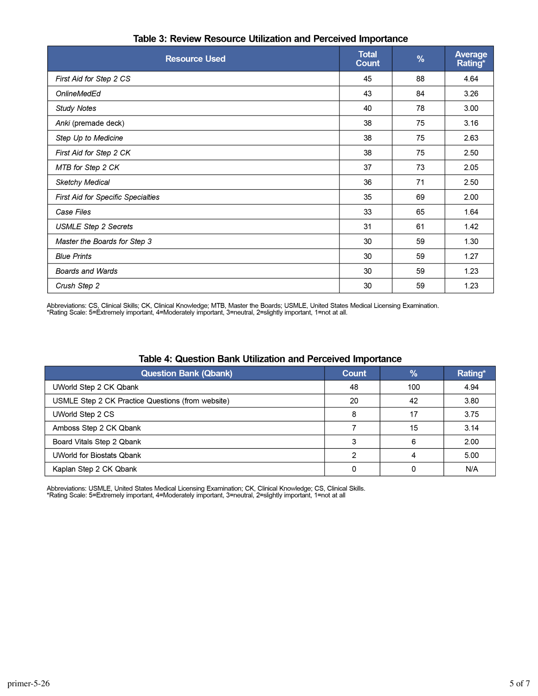| <b>Resource Used</b>               | <b>Total</b><br><b>Count</b> | %  | <b>Average</b><br>Rating* |
|------------------------------------|------------------------------|----|---------------------------|
| First Aid for Step 2 CS            | 45                           | 88 | 4.64                      |
| <b>OnlineMedEd</b>                 | 43                           | 84 | 3.26                      |
| <b>Study Notes</b>                 | 40                           | 78 | 3.00                      |
| Anki (premade deck)                | 38                           | 75 | 3.16                      |
| Step Up to Medicine                | 38                           | 75 | 2.63                      |
| First Aid for Step 2 CK            | 38                           | 75 | 2.50                      |
| MTB for Step 2 CK                  | 37                           | 73 | 2.05                      |
| <b>Sketchy Medical</b>             | 36                           | 71 | 2.50                      |
| First Aid for Specific Specialties | 35                           | 69 | 2.00                      |
| Case Files                         | 33                           | 65 | 1.64                      |
| <b>USMLE Step 2 Secrets</b>        | 31                           | 61 | 1.42                      |
| Master the Boards for Step 3       | 30                           | 59 | 1.30                      |
| <b>Blue Prints</b>                 | 30                           | 59 | 1.27                      |
| <b>Boards and Wards</b>            | 30                           | 59 | 1.23                      |
| Crush Step 2                       | 30                           | 59 | 1.23                      |

### Table 3: Review Resource Utilization and Perceived Importance

Abbreviations: CS, Clinical Skills; CK, Clinical Knowledge; MTB, Master the Boards; USMLE, United States Medical Licensing Examination.<br>\*Rating Scale: 5=Extremely important, 4=Moderately important, 3=neutral, 2=slightly im

| <b>Question Bank (Qbank)</b>                      | <b>Count</b> | $\%$ | Rating* |
|---------------------------------------------------|--------------|------|---------|
| UWorld Step 2 CK Qbank                            | 48           | 100  | 4.94    |
| USMLE Step 2 CK Practice Questions (from website) | 20           | 42   | 3.80    |
| UWorld Step 2 CS                                  | 8            | 17   | 3.75    |
| Amboss Step 2 CK Qbank                            |              | 15   | 3.14    |
| Board Vitals Step 2 Qbank                         | 3            | 6    | 2.00    |
| <b>UWorld for Biostats Qbank</b>                  | ົ            |      | 5.00    |
| Kaplan Step 2 CK Qbank                            |              |      | N/A     |

## Table 4: Question Bank Utilization and Perceived Importance

Abbreviations: USMLE, United States Medical Licensing Examination; CK, Clinical Knowledge; CS, Clinical Skills.<br>\*Rating Scale: 5=Extremely important, 4=Moderately important, 3=neutral, 2=slightly important, 1=not at all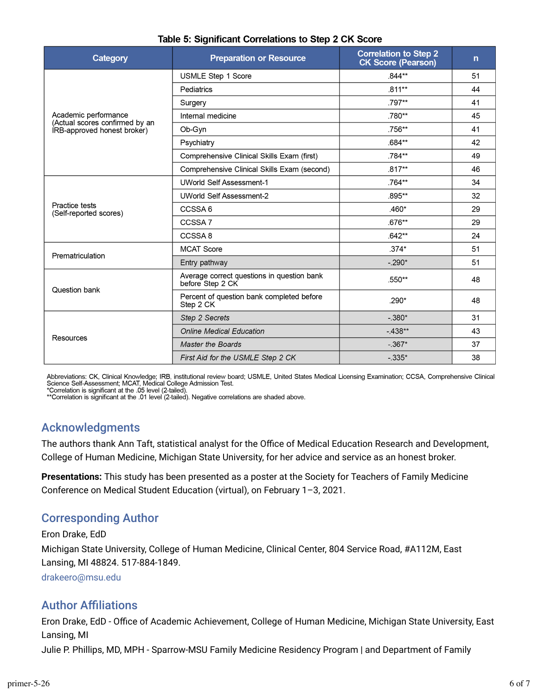| <b>Category</b>                                        | <b>Preparation or Resource</b>                                 | <b>Correlation to Step 2</b><br><b>CK Score (Pearson)</b> | $\mathsf{n}$ |
|--------------------------------------------------------|----------------------------------------------------------------|-----------------------------------------------------------|--------------|
|                                                        | USMLE Step 1 Score                                             | .844**                                                    | 51           |
|                                                        | Pediatrics                                                     | $.811***$                                                 | 44           |
|                                                        | Surgery                                                        | .797**                                                    | 41           |
| Academic performance<br>(Actual scores confirmed by an | Internal medicine                                              | .780**                                                    | 45           |
| IRB-approved honest broker)                            | Ob-Gyn                                                         | .756**                                                    | 41           |
|                                                        | Psychiatry                                                     | .684**                                                    | 42           |
|                                                        | Comprehensive Clinical Skills Exam (first)                     | .784**                                                    | 49           |
|                                                        | Comprehensive Clinical Skills Exam (second)                    | $.817**$                                                  | 46           |
| Practice tests<br>(Self-reported scores)               | <b>UWorld Self Assessment-1</b>                                | .764**                                                    | 34           |
|                                                        | <b>UWorld Self Assessment-2</b>                                | .895**                                                    | 32           |
|                                                        | CCSSA6                                                         | .460*                                                     | 29           |
|                                                        | CCSSA <sub>7</sub>                                             | .676**                                                    | 29           |
|                                                        | CCSSA <sub>8</sub>                                             | $.642**$                                                  | 24           |
| Prematriculation                                       | <b>MCAT Score</b>                                              | $.374*$                                                   | 51           |
|                                                        | Entry pathway                                                  | $-.290*$                                                  | 51           |
| Question bank                                          | Average correct questions in question bank<br>before Step 2 CK | .550**                                                    | 48           |
|                                                        | Percent of question bank completed before<br>Step 2 CK         | .290*                                                     | 48           |
| Resources                                              | Step 2 Secrets                                                 | $-.380*$                                                  | 31           |
|                                                        | <b>Online Medical Education</b>                                | $-438**$                                                  | 43           |
|                                                        | <b>Master the Boards</b>                                       | $-.367*$                                                  | 37           |
|                                                        | First Aid for the USMLE Step 2 CK                              | $-.335*$                                                  | 38           |

#### Table 5: Significant Correlations to Step 2 CK Score

Abbreviations: CK, Clinical Knowledge; IRB, institutional review board; USMLE, United States Medical Licensing Examination; CCSA, Comprehensive Clinical<br>Science Self-Assessment; MCAT, Medical College Admission Test.<br>\*Corre

\*\*Correlation is significant at the .01 level (2-tailed). Negative correlations are shaded above.

## Acknowledgments

The authors thank Ann Taft, statistical analyst for the Office of Medical Education Research and Development, College of Human Medicine, Michigan State University, for her advice and service as an honest broker.

**Presentations:** This study has been presented as a poster at the Society for Teachers of Family Medicine Conference on Medical Student Education (virtual), on February 1–3, 2021.

# Corresponding Author

#### Eron Drake, EdD

Michigan State University, College of Human Medicine, Clinical Center, 804 Service Road, #A112M, East Lansing, MI 48824. 517-884-1849.

[drakeero@msu.edu](mailto:drakeero@msu.edu)

## **Author Affiliations**

Eron Drake, EdD - Office of Academic Achievement, College of Human Medicine, Michigan State University, East Lansing, MI

Julie P. Phillips, MD, MPH - Sparrow-MSU Family Medicine Residency Program | and Department of Family